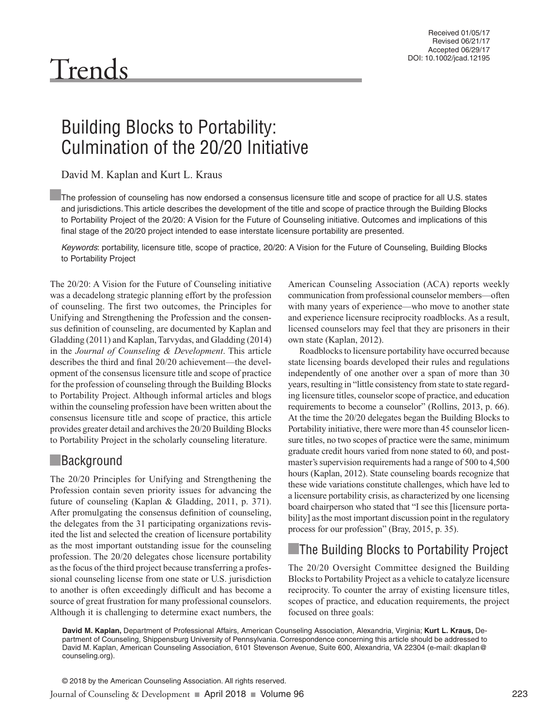# Trends

## Building Blocks to Portability: Culmination of the 20/20 Initiative

David M. Kaplan and Kurt L. Kraus

The profession of counseling has now endorsed a consensus licensure title and scope of practice for all U.S. states and jurisdictions. This article describes the development of the title and scope of practice through the Building Blocks to Portability Project of the 20/20: A Vision for the Future of Counseling initiative. Outcomes and implications of this final stage of the 20/20 project intended to ease interstate licensure portability are presented.

*Keywords*: portability, licensure title, scope of practice, 20/20: A Vision for the Future of Counseling, Building Blocks to Portability Project

The 20/20: A Vision for the Future of Counseling initiative was a decadelong strategic planning effort by the profession of counseling. The first two outcomes, the Principles for Unifying and Strengthening the Profession and the consensus definition of counseling, are documented by Kaplan and Gladding (2011) and Kaplan, Tarvydas, and Gladding (2014) in the *Journal of Counseling & Development*. This article describes the third and final 20/20 achievement—the development of the consensus licensure title and scope of practice for the profession of counseling through the Building Blocks to Portability Project. Although informal articles and blogs within the counseling profession have been written about the consensus licensure title and scope of practice, this article provides greater detail and archives the 20/20 Building Blocks to Portability Project in the scholarly counseling literature.

## **Background**

The 20/20 Principles for Unifying and Strengthening the Profession contain seven priority issues for advancing the future of counseling (Kaplan & Gladding, 2011, p. 371). After promulgating the consensus definition of counseling, the delegates from the 31 participating organizations revisited the list and selected the creation of licensure portability as the most important outstanding issue for the counseling profession. The 20/20 delegates chose licensure portability as the focus of the third project because transferring a professional counseling license from one state or U.S. jurisdiction to another is often exceedingly difficult and has become a source of great frustration for many professional counselors. Although it is challenging to determine exact numbers, the American Counseling Association (ACA) reports weekly communication from professional counselor members—often with many years of experience—who move to another state and experience licensure reciprocity roadblocks. As a result, licensed counselors may feel that they are prisoners in their own state (Kaplan, 2012).

Roadblocks to licensure portability have occurred because state licensing boards developed their rules and regulations independently of one another over a span of more than 30 years, resulting in "little consistency from state to state regarding licensure titles, counselor scope of practice, and education requirements to become a counselor" (Rollins, 2013, p. 66). At the time the 20/20 delegates began the Building Blocks to Portability initiative, there were more than 45 counselor licensure titles, no two scopes of practice were the same, minimum graduate credit hours varied from none stated to 60, and postmaster's supervision requirements had a range of 500 to 4,500 hours (Kaplan, 2012). State counseling boards recognize that these wide variations constitute challenges, which have led to a licensure portability crisis, as characterized by one licensing board chairperson who stated that "I see this [licensure portability] as the most important discussion point in the regulatory process for our profession" (Bray, 2015, p. 35).

## **The Building Blocks to Portability Project**

The 20/20 Oversight Committee designed the Building Blocks to Portability Project as a vehicle to catalyze licensure reciprocity. To counter the array of existing licensure titles, scopes of practice, and education requirements, the project focused on three goals:

**David M. Kaplan,** Department of Professional Affairs, American Counseling Association, Alexandria, Virginia; **Kurt L. Kraus,** Department of Counseling, Shippensburg University of Pennsylvania. Correspondence concerning this article should be addressed to David M. Kaplan, American Counseling Association, 6101 Stevenson Avenue, Suite 600, Alexandria, VA 22304 (e-mail: dkaplan@ counseling.org).

© 2018 by the American Counseling Association. All rights reserved.

Journal of Counseling & Development ■ April 2018 ■ Volume 96 223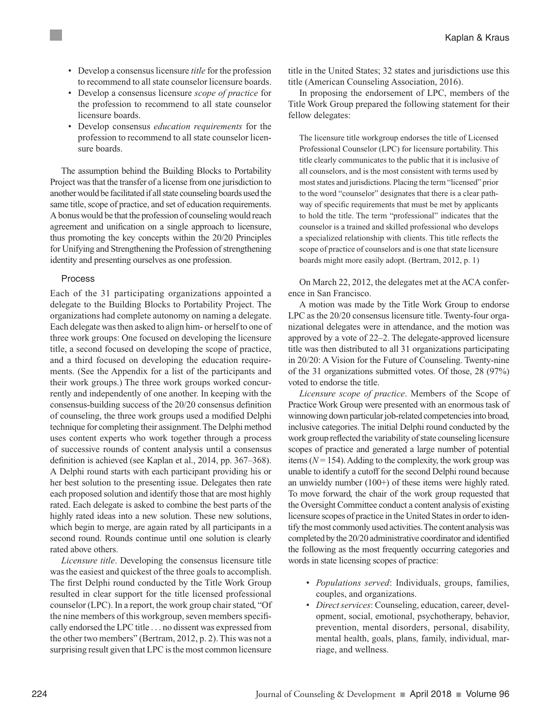- Develop a consensus licensure *title* for the profession to recommend to all state counselor licensure boards.
- Develop a consensus licensure *scope of practice* for the profession to recommend to all state counselor licensure boards.
- Develop consensus *education requirements* for the profession to recommend to all state counselor licensure boards.

The assumption behind the Building Blocks to Portability Project was that the transfer of a license from one jurisdiction to another would be facilitated if all state counseling boards used the same title, scope of practice, and set of education requirements. A bonus would be that the profession of counseling would reach agreement and unification on a single approach to licensure, thus promoting the key concepts within the 20/20 Principles for Unifying and Strengthening the Profession of strengthening identity and presenting ourselves as one profession.

#### Process

Each of the 31 participating organizations appointed a delegate to the Building Blocks to Portability Project. The organizations had complete autonomy on naming a delegate. Each delegate was then asked to align him- or herself to one of three work groups: One focused on developing the licensure title, a second focused on developing the scope of practice, and a third focused on developing the education requirements. (See the Appendix for a list of the participants and their work groups.) The three work groups worked concurrently and independently of one another. In keeping with the consensus-building success of the 20/20 consensus definition of counseling, the three work groups used a modified Delphi technique for completing their assignment. The Delphi method uses content experts who work together through a process of successive rounds of content analysis until a consensus definition is achieved (see Kaplan et al., 2014, pp. 367–368). A Delphi round starts with each participant providing his or her best solution to the presenting issue. Delegates then rate each proposed solution and identify those that are most highly rated. Each delegate is asked to combine the best parts of the highly rated ideas into a new solution. These new solutions, which begin to merge, are again rated by all participants in a second round. Rounds continue until one solution is clearly rated above others.

*Licensure title*. Developing the consensus licensure title was the easiest and quickest of the three goals to accomplish. The first Delphi round conducted by the Title Work Group resulted in clear support for the title licensed professional counselor (LPC). In a report, the work group chair stated, "Of the nine members of this workgroup, seven members specifically endorsed the LPC title . . . no dissent was expressed from the other two members" (Bertram, 2012, p. 2). This was not a surprising result given that LPC is the most common licensure

title in the United States; 32 states and jurisdictions use this title (American Counseling Association, 2016).

In proposing the endorsement of LPC, members of the Title Work Group prepared the following statement for their fellow delegates:

The licensure title workgroup endorses the title of Licensed Professional Counselor (LPC) for licensure portability. This title clearly communicates to the public that it is inclusive of all counselors, and is the most consistent with terms used by most states and jurisdictions. Placing the term "licensed" prior to the word "counselor" designates that there is a clear pathway of specific requirements that must be met by applicants to hold the title. The term "professional" indicates that the counselor is a trained and skilled professional who develops a specialized relationship with clients. This title reflects the scope of practice of counselors and is one that state licensure boards might more easily adopt. (Bertram, 2012, p. 1)

On March 22, 2012, the delegates met at the ACA conference in San Francisco.

A motion was made by the Title Work Group to endorse LPC as the 20/20 consensus licensure title. Twenty-four organizational delegates were in attendance, and the motion was approved by a vote of 22–2. The delegate-approved licensure title was then distributed to all 31 organizations participating in 20/20: A Vision for the Future of Counseling. Twenty-nine of the 31 organizations submitted votes. Of those, 28 (97%) voted to endorse the title.

*Licensure scope of practice*. Members of the Scope of Practice Work Group were presented with an enormous task of winnowing down particular job-related competencies into broad, inclusive categories. The initial Delphi round conducted by the work group reflected the variability of state counseling licensure scopes of practice and generated a large number of potential items  $(N = 154)$ . Adding to the complexity, the work group was unable to identify a cutoff for the second Delphi round because an unwieldy number (100+) of these items were highly rated. To move forward, the chair of the work group requested that the Oversight Committee conduct a content analysis of existing licensure scopes of practice in the United States in order to identify the most commonly used activities. The content analysis was completed by the 20/20 administrative coordinator and identified the following as the most frequently occurring categories and words in state licensing scopes of practice:

- *Populations served*: Individuals, groups, families, couples, and organizations.
- *Direct services*: Counseling, education, career, development, social, emotional, psychotherapy, behavior, prevention, mental disorders, personal, disability, mental health, goals, plans, family, individual, marriage, and wellness.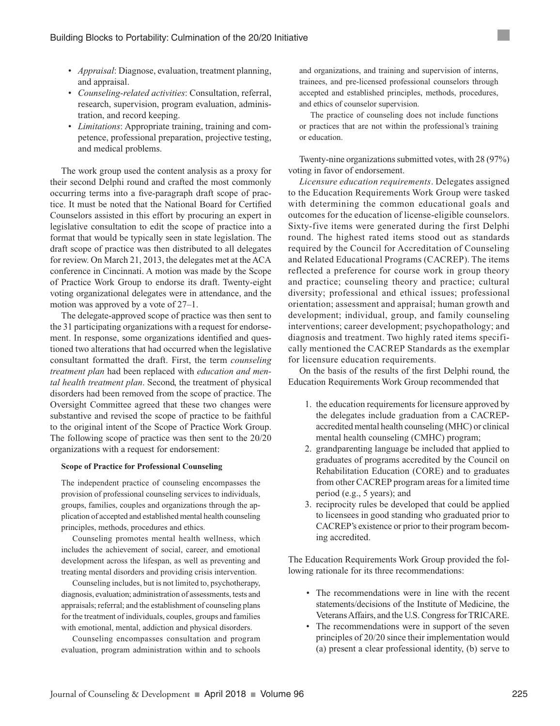- *Appraisal*: Diagnose, evaluation, treatment planning, and appraisal.
- *Counseling-related activities*: Consultation, referral, research, supervision, program evaluation, administration, and record keeping.
- *Limitations*: Appropriate training, training and competence, professional preparation, projective testing, and medical problems.

The work group used the content analysis as a proxy for their second Delphi round and crafted the most commonly occurring terms into a five-paragraph draft scope of practice. It must be noted that the National Board for Certified Counselors assisted in this effort by procuring an expert in legislative consultation to edit the scope of practice into a format that would be typically seen in state legislation. The draft scope of practice was then distributed to all delegates for review. On March 21, 2013, the delegates met at the ACA conference in Cincinnati. A motion was made by the Scope of Practice Work Group to endorse its draft. Twenty-eight voting organizational delegates were in attendance, and the motion was approved by a vote of 27–1.

The delegate-approved scope of practice was then sent to the 31 participating organizations with a request for endorsement. In response, some organizations identified and questioned two alterations that had occurred when the legislative consultant formatted the draft. First, the term *counseling treatment plan* had been replaced with *education and mental health treatment plan*. Second, the treatment of physical disorders had been removed from the scope of practice. The Oversight Committee agreed that these two changes were substantive and revised the scope of practice to be faithful to the original intent of the Scope of Practice Work Group. The following scope of practice was then sent to the 20/20 organizations with a request for endorsement:

#### **Scope of Practice for Professional Counseling**

The independent practice of counseling encompasses the provision of professional counseling services to individuals, groups, families, couples and organizations through the application of accepted and established mental health counseling principles, methods, procedures and ethics.

Counseling promotes mental health wellness, which includes the achievement of social, career, and emotional development across the lifespan, as well as preventing and treating mental disorders and providing crisis intervention.

Counseling includes, but is not limited to, psychotherapy, diagnosis, evaluation; administration of assessments, tests and appraisals; referral; and the establishment of counseling plans for the treatment of individuals, couples, groups and families with emotional, mental, addiction and physical disorders.

Counseling encompasses consultation and program evaluation, program administration within and to schools and organizations, and training and supervision of interns, trainees, and pre-licensed professional counselors through accepted and established principles, methods, procedures, and ethics of counselor supervision.

The practice of counseling does not include functions or practices that are not within the professional's training or education.

Twenty-nine organizations submitted votes, with 28 (97%) voting in favor of endorsement.

*Licensure education requirements*. Delegates assigned to the Education Requirements Work Group were tasked with determining the common educational goals and outcomes for the education of license-eligible counselors. Sixty-five items were generated during the first Delphi round. The highest rated items stood out as standards required by the Council for Accreditation of Counseling and Related Educational Programs (CACREP). The items reflected a preference for course work in group theory and practice; counseling theory and practice; cultural diversity; professional and ethical issues; professional orientation; assessment and appraisal; human growth and development; individual, group, and family counseling interventions; career development; psychopathology; and diagnosis and treatment. Two highly rated items specifically mentioned the CACREP Standards as the exemplar for licensure education requirements.

On the basis of the results of the first Delphi round, the Education Requirements Work Group recommended that

- 1. the education requirements for licensure approved by the delegates include graduation from a CACREPaccredited mental health counseling (MHC) or clinical mental health counseling (CMHC) program;
- 2. grandparenting language be included that applied to graduates of programs accredited by the Council on Rehabilitation Education (CORE) and to graduates from other CACREP program areas for a limited time period (e.g., 5 years); and
- 3. reciprocity rules be developed that could be applied to licensees in good standing who graduated prior to CACREP's existence or prior to their program becoming accredited.

The Education Requirements Work Group provided the following rationale for its three recommendations:

- The recommendations were in line with the recent statements/decisions of the Institute of Medicine, the Veterans Affairs, and the U.S. Congress for TRICARE.
- The recommendations were in support of the seven principles of 20/20 since their implementation would (a) present a clear professional identity, (b) serve to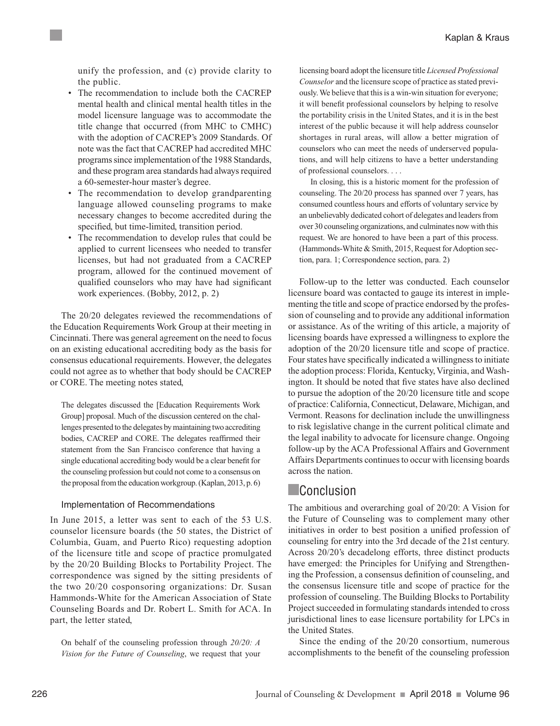unify the profession, and (c) provide clarity to the public.

- The recommendation to include both the CACREP mental health and clinical mental health titles in the model licensure language was to accommodate the title change that occurred (from MHC to CMHC) with the adoption of CACREP's 2009 Standards. Of note was the fact that CACREP had accredited MHC programs since implementation of the 1988 Standards, and these program area standards had always required a 60-semester-hour master's degree.
- The recommendation to develop grandparenting language allowed counseling programs to make necessary changes to become accredited during the specified, but time-limited, transition period.
- The recommendation to develop rules that could be applied to current licensees who needed to transfer licenses, but had not graduated from a CACREP program, allowed for the continued movement of qualified counselors who may have had significant work experiences. (Bobby, 2012, p. 2)

The 20/20 delegates reviewed the recommendations of the Education Requirements Work Group at their meeting in Cincinnati. There was general agreement on the need to focus on an existing educational accrediting body as the basis for consensus educational requirements. However, the delegates could not agree as to whether that body should be CACREP or CORE. The meeting notes stated,

The delegates discussed the [Education Requirements Work Group] proposal. Much of the discussion centered on the challenges presented to the delegates by maintaining two accrediting bodies, CACREP and CORE. The delegates reaffirmed their statement from the San Francisco conference that having a single educational accrediting body would be a clear benefit for the counseling profession but could not come to a consensus on the proposal from the education workgroup. (Kaplan, 2013, p. 6)

#### Implementation of Recommendations

In June 2015, a letter was sent to each of the 53 U.S. counselor licensure boards (the 50 states, the District of Columbia, Guam, and Puerto Rico) requesting adoption of the licensure title and scope of practice promulgated by the 20/20 Building Blocks to Portability Project. The correspondence was signed by the sitting presidents of the two 20/20 cosponsoring organizations: Dr. Susan Hammonds-White for the American Association of State Counseling Boards and Dr. Robert L. Smith for ACA. In part, the letter stated,

On behalf of the counseling profession through *20/20: A Vision for the Future of Counseling*, we request that your licensing board adopt the licensure title *Licensed Professional Counselor* and the licensure scope of practice as stated previously. We believe that this is a win-win situation for everyone; it will benefit professional counselors by helping to resolve the portability crisis in the United States, and it is in the best interest of the public because it will help address counselor shortages in rural areas, will allow a better migration of counselors who can meet the needs of underserved populations, and will help citizens to have a better understanding of professional counselors. . . .

In closing, this is a historic moment for the profession of counseling. The 20/20 process has spanned over 7 years, has consumed countless hours and efforts of voluntary service by an unbelievably dedicated cohort of delegates and leaders from over 30 counseling organizations, and culminates now with this request. We are honored to have been a part of this process. (Hammonds-White & Smith, 2015, Request for Adoption section, para. 1; Correspondence section, para. 2)

Follow-up to the letter was conducted. Each counselor licensure board was contacted to gauge its interest in implementing the title and scope of practice endorsed by the profession of counseling and to provide any additional information or assistance. As of the writing of this article, a majority of licensing boards have expressed a willingness to explore the adoption of the 20/20 licensure title and scope of practice. Four states have specifically indicated a willingness to initiate the adoption process: Florida, Kentucky, Virginia, and Washington. It should be noted that five states have also declined to pursue the adoption of the 20/20 licensure title and scope of practice: California, Connecticut, Delaware, Michigan, and Vermont. Reasons for declination include the unwillingness to risk legislative change in the current political climate and the legal inability to advocate for licensure change. Ongoing follow-up by the ACA Professional Affairs and Government Affairs Departments continues to occur with licensing boards across the nation.

## **Conclusion**

The ambitious and overarching goal of 20/20: A Vision for the Future of Counseling was to complement many other initiatives in order to best position a unified profession of counseling for entry into the 3rd decade of the 21st century. Across 20/20's decadelong efforts, three distinct products have emerged: the Principles for Unifying and Strengthening the Profession, a consensus definition of counseling, and the consensus licensure title and scope of practice for the profession of counseling. The Building Blocks to Portability Project succeeded in formulating standards intended to cross jurisdictional lines to ease licensure portability for LPCs in the United States.

Since the ending of the 20/20 consortium, numerous accomplishments to the benefit of the counseling profession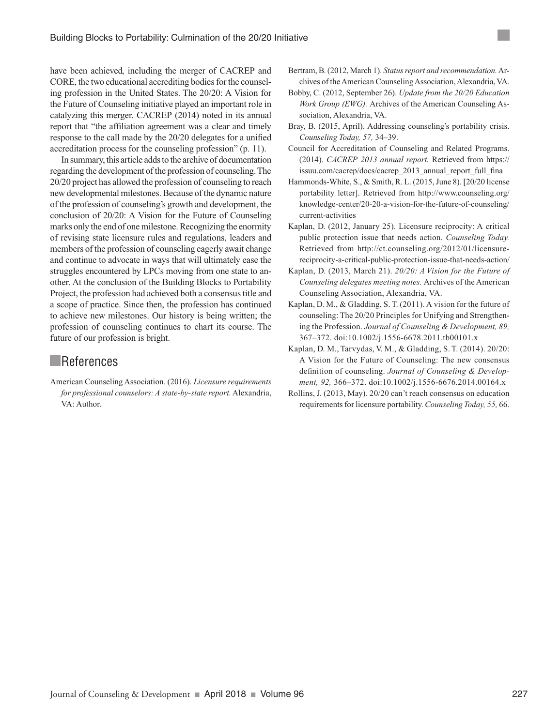have been achieved, including the merger of CACREP and CORE, the two educational accrediting bodies for the counseling profession in the United States. The 20/20: A Vision for the Future of Counseling initiative played an important role in catalyzing this merger. CACREP (2014) noted in its annual report that "the affiliation agreement was a clear and timely response to the call made by the 20/20 delegates for a unified accreditation process for the counseling profession" (p. 11).

In summary, this article adds to the archive of documentation regarding the development of the profession of counseling. The 20/20 project has allowed the profession of counseling to reach new developmental milestones. Because of the dynamic nature of the profession of counseling's growth and development, the conclusion of 20/20: A Vision for the Future of Counseling marks only the end of one milestone. Recognizing the enormity of revising state licensure rules and regulations, leaders and members of the profession of counseling eagerly await change and continue to advocate in ways that will ultimately ease the struggles encountered by LPCs moving from one state to another. At the conclusion of the Building Blocks to Portability Project, the profession had achieved both a consensus title and a scope of practice. Since then, the profession has continued to achieve new milestones. Our history is being written; the profession of counseling continues to chart its course. The future of our profession is bright.

### **References**

American Counseling Association. (2016). *Licensure requirements for professional counselors: A state-by-state report.* Alexandria, VA: Author.

- Bertram, B. (2012, March 1). *Status report and recommendation.* Archives of the American Counseling Association, Alexandria, VA.
- Bobby, C. (2012, September 26). *Update from the 20/20 Education Work Group (EWG).* Archives of the American Counseling Association, Alexandria, VA.
- Bray, B. (2015, April). Addressing counseling's portability crisis. *Counseling Today, 57,* 34–39.
- Council for Accreditation of Counseling and Related Programs. (2014). *CACREP 2013 annual report.* Retrieved from https:// issuu.com/cacrep/docs/cacrep\_2013\_annual\_report\_full\_fina
- Hammonds-White, S., & Smith, R. L. (2015, June 8). [20/20 license portability letter]. Retrieved from http://www.counseling.org/ knowledge-center/20-20-a-vision-for-the-future-of-counseling/ current-activities
- Kaplan, D. (2012, January 25). Licensure reciprocity: A critical public protection issue that needs action. *Counseling Today.*  Retrieved from http://ct.counseling.org/2012/01/licensurereciprocity-a-critical-public-protection-issue-that-needs-action/
- Kaplan, D. (2013, March 21). *20/20: A Vision for the Future of Counseling delegates meeting notes.* Archives of the American Counseling Association, Alexandria, VA.
- Kaplan, D. M., & Gladding, S. T. (2011). A vision for the future of counseling: The 20/20 Principles for Unifying and Strengthening the Profession. *Journal of Counseling & Development, 89,* 367–372. doi:10.1002/j.1556-6678.2011.tb00101.x
- Kaplan, D. M., Tarvydas, V. M., & Gladding, S. T. (2014). 20/20: A Vision for the Future of Counseling: The new consensus definition of counseling. *Journal of Counseling & Development, 92,* 366–372. doi:10.1002/j.1556-6676.2014.00164.x
- Rollins, J. (2013, May). 20/20 can't reach consensus on education requirements for licensure portability. *Counseling Today, 55,* 66.